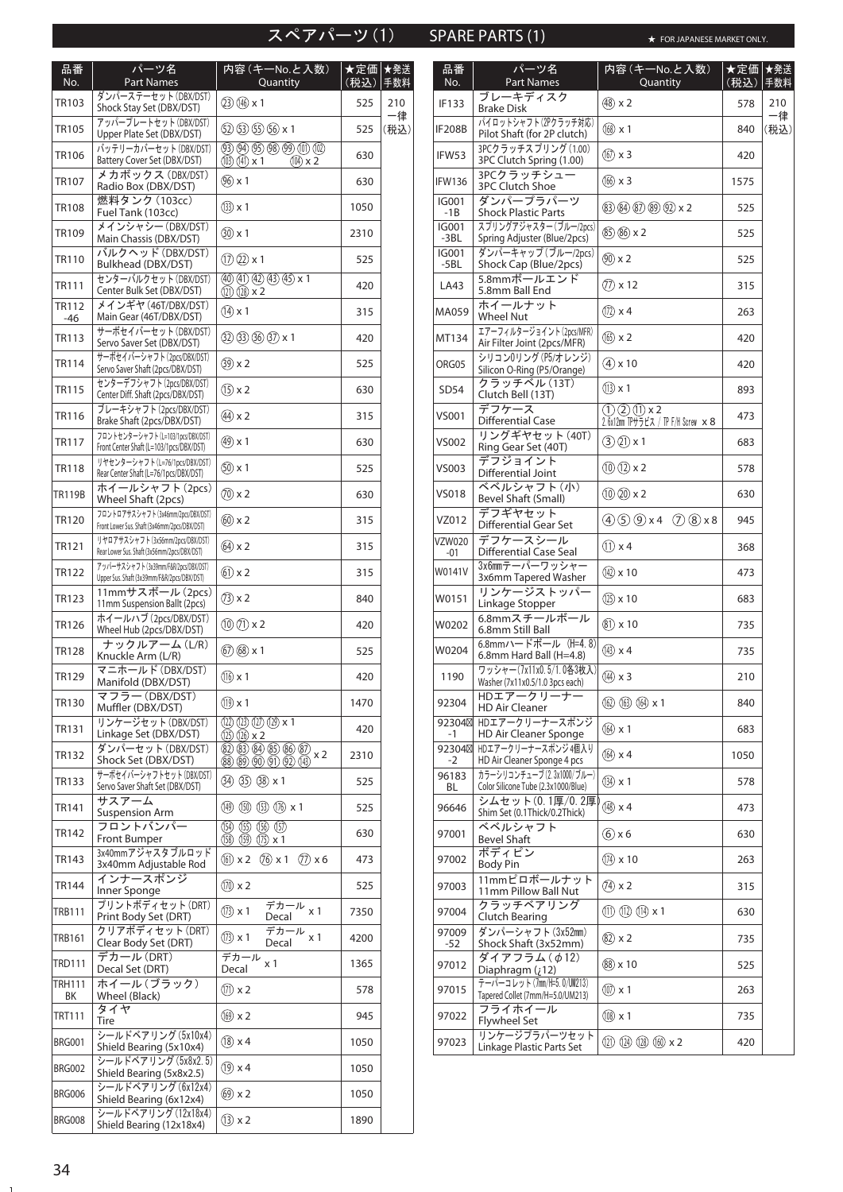# スペアパーツ(1) SPARE PARTS (1)

★ FOR JAPANESE MARKET ONLY.

| 品番<br>No.             | パーツ名<br><b>Part Names</b>                                                          | 内容 (キーNo.と入数)<br>Quantity                                                    | ★定価<br>(税込) | ★発送<br>自数料 |
|-----------------------|------------------------------------------------------------------------------------|------------------------------------------------------------------------------|-------------|------------|
| TR103                 | ダンパーステーセット (DBX/DST)<br>Shock Stay Set (DBX/DST)                                   | $(23)(146)$ x 1                                                              | 525         | 210        |
| TR105                 | アッパープレートセット (DBX/DST)<br>Upper Plate Set (DBX/DST)                                 | (2) (3) (5) (6) x 1                                                          | 525         | 一律<br>(税込) |
| TR106                 | バッテリーカバーセット (DBX/DST)<br>Battery Cover Set (DBX/DST)                               | $(9)$ $(9)$ $(9)$ $(9)$ $(0)$ $(0)$<br>$(10)$ $(11)$ x 1<br>$(104) \times 2$ | 630         |            |
| TR107                 | メカボックス (DBX/DST)<br>Radio Box (DBX/DST)                                            | $(96)$ x 1                                                                   | 630         |            |
| <b>TR108</b>          | 燃料タンク (103cc)<br>Fuel Tank (103cc)                                                 | $(33) \times 1$                                                              | 1050        |            |
| TR109                 | メインシャシー (DBX/DST)<br>Main Chassis (DBX/DST)                                        | $(30) \times 1$                                                              | 2310        |            |
| <b>TR110</b>          | バルクヘッド (DBX/DST)<br>Bulkhead (DBX/DST)                                             | $(1)$ $(2)$ x 1                                                              | 525         |            |
| TR111                 | センターバルクセット(DBX/DST)<br>Center Bulk Set (DBX/DST)                                   | $(40)(1)(42)(13)(45)$ x 1<br>$(121)$ $(128)$ x 2                             | 420         |            |
| <b>TR112</b><br>$-46$ | メインギヤ (46T/DBX/DST)<br>Main Gear (46T/DBX/DST)                                     | $(14) \times 1$                                                              | 315         |            |
| TR113                 | サーボセイバーセット (DBX/DST)<br>Servo Saver Set (DBX/DST)                                  | $(32)$ $(33)$ $(36)$ $(37)$ x 1                                              | 420         |            |
| <b>TR114</b>          | サーボセイバーシャフト(2pcs/DBX/DST)<br>Servo Saver Shaft (2pcs/DBX/DST)                      | $(39) \times 2$                                                              | 525         |            |
| <b>TR115</b>          | センターデフシャフト (2pcs/DBX/DST)<br>Center Diff. Shaft (2pcs/DBX/DST)                     | $(15) \times 2$                                                              | 630         |            |
| <b>TR116</b>          | ブレーキシャフト (2pcs/DBX/DST)<br>Brake Shaft (2pcs/DBX/DST)                              | $(44) \times 2$                                                              | 315         |            |
| <b>TR117</b>          | フロントセンターシャフト (L=103/1pcs/DBX/DST)<br>Front Center Shaft (L=103/1pcs/DBX/DST)       | $(49) \times 1$                                                              | 630         |            |
| <b>TR118</b>          | リヤセンターシャフト (L=76/1pcs/DBX/DST)<br>Rear Center Shaft (L=76/1pcs/DBX/DST)            | $(50) \times 1$                                                              | 525         |            |
| TR119B                | ホイールシャフト(2pcs)<br>Wheel Shaft (2pcs)                                               | $(70)$ x 2                                                                   | 630         |            |
| <b>TR120</b>          | フロントロアサスシャフト (3x46mm/2pcs/DBX/DST)<br>Front Lower Sus. Shaft (3x46mm/2pcs/DBX/DST) | $(60)$ x 2                                                                   | 315         |            |
| <b>TR121</b>          | リヤロアサスシャフト (3x56mm/2pcs/DBX/DST)<br>Rear Lower Sus. Shaft (3x56mm/2pcs/DBX/DST)    | $(64) \times 2$                                                              | 315         |            |
| <b>TR122</b>          | アッパーサスシャフト (3x39mm/F&R/2pcs/DBX/DST)<br>Upper Sus. Shaft (3x39mm/F&R/2pcs/DBX/DST) | $(61) \times 2$                                                              | 315         |            |
| <b>TR123</b>          | 11mmサスボール (2pcs)<br>11mm Suspension Ballt (2pcs)                                   | $(73) \times 2$                                                              | 840         |            |
| <b>TR126</b>          | ホイールハブ (2pcs/DBX/DST)<br>Wheel Hub (2pcs/DBX/DST)                                  | $(10)(1) \times 2$                                                           | 420         |            |
| <b>TR128</b>          | ナックルアーム(L/R)<br>Knuckle Arm (L/R)                                                  | $(67)(68)$ x 1                                                               | 525         |            |
| TR129                 | マニホールド (DBX/DST)<br>Manifold (DBX/DST)                                             | $(16) \times 1$                                                              | 420         |            |
| TR130                 | マフラー (DBX/DST)<br>Muffler (DBX/DST)                                                | $(19) \times 1$                                                              | 1470        |            |
| TR131                 | リンケージセット (DBX/DST)<br>Linkage Set (DBX/DST)                                        | $(12)(13)(17)(19) \times 1$<br>$(12)$ $(12)$ $\times$ 2                      | 420         |            |
| TR132                 | ダンパーセット(DBX/DST)<br>Shock Set (DBX/DST)                                            | 32 33 34 35 36 37 x 2<br><b>88 @ @ ① ② ⑭</b>                                 | 2310        |            |
| TR133                 | サーボセイバーシャフトセット (DBX/DST)<br>Servo Saver Shaft Set (DBX/DST)                        | 34 35 38 x 1                                                                 | 525         |            |
| TR141                 | サスアーム<br><b>Suspension Arm</b>                                                     | 49 (50 (53 (76 x 1                                                           | 525         |            |
| TR142                 | フロントバンパー<br>Front Bumper                                                           | $(54)$ $(55)$ $(56)$ $(57)$<br>$(158)$ $(159)$ $(175)$ x 1                   | 630         |            |
| TR143                 | 3x40mmアジャスタブルロッド<br>3x40mm Adjustable Rod                                          | $(6) \times 2$<br>$(76)$ x 1<br>$(7) \times 6$                               | 473         |            |
| <b>TR144</b>          | インナースポンジ<br>Inner Sponge                                                           | $(1) \times 2$                                                               | 525         |            |
| TRB111                | プリントボディセット(DRT)<br>Print Body Set (DRT)                                            | $\overline{\vec{\tau}}$ カール $_{\times}$ 1<br>$(1) \times 1$<br>Decal         | 7350        |            |
| TRB161                | クリアボディセット(DRT)<br>Clear Body Set (DRT)                                             | デカール<br>$(1) \times 1$<br>x <sub>1</sub><br>Decal                            | 4200        |            |
| TRD111                | デカール (DRT)<br>Decal Set (DRT)                                                      | デカール<br>x 1<br>Decal                                                         | 1365        |            |
| TRH111<br>ВK          | ホイール(ブラック)<br>Wheel (Black)                                                        | $(1) \times 2$                                                               | 578         |            |
| TRT111                | タイヤ<br>Tire                                                                        | $(69) \times 2$                                                              | 945         |            |
| <b>BRG001</b>         | シールドベアリング (5x10x4)<br>Shield Bearing (5x10x4)                                      | $(18)$ x 4                                                                   | 1050        |            |
| BRG002                | シールドベアリング (5x8x2.5)<br>Shield Bearing (5x8x2.5)                                    | $(19) \times 4$                                                              | 1050        |            |
| BRG006                | シールドベアリング (6x12x4)<br>Shield Bearing (6x12x4)                                      | $(69) \times 2$                                                              | 1050        |            |
| BRG008                | シールドベアリング (12x18x4)<br>Shield Bearing (12x18x4)                                    | $(13) \times 2$                                                              | 1890        |            |

| 品番<br>No.              | <u> パーツ名</u><br><b>Part Names</b>                                 | 内容 (キーNo.と入数)<br>Quantity                                 | ★定価 ★発送<br>(税込) | 手数料       |
|------------------------|-------------------------------------------------------------------|-----------------------------------------------------------|-----------------|-----------|
| IF133                  | ブレーキディスク<br>Brake Disk                                            | $(48)$ x 2                                                | 578             | 210<br>一律 |
| <b>IF208B</b>          | パイロットシャフト (2Pクラッチ対応)<br>Pilot Shaft (for 2P clutch)               | $(168) \times 1$                                          | 840             | (税込)      |
| IFW53                  | 3PCクラッチスプリング (1.00)<br>3PC Clutch Spring (1.00)                   | $(167) \times 3$                                          | 420             |           |
| <b>IFW136</b>          | 3PCクラッチシュー<br><b>3PC Clutch Shoe</b>                              | $(166) \times 3$                                          | 1575            |           |
| IG001<br>$-1B$         | ダンパープラパーツ<br><b>Shock Plastic Parts</b>                           | $(83)$ $(84)$ $(87)$ $(89)$ $(92)$ x 2                    | 525             |           |
| <b>IG001</b><br>$-3BL$ | スプリングアジャスター (ブルー/2pcs)<br>Spring Adjuster (Blue/2pcs)             | $(85)$ $(86)$ x 2                                         | 525             |           |
| <b>IG001</b><br>$-5BL$ | ダンパーキャップ (ブルー/2pcs)<br>Shock Cap (Blue/2pcs)                      | $(90)$ x 2                                                | 525             |           |
| LA43                   | 5.8mmボールエンド<br>5.8mm Ball End                                     | $(7) \times 12$                                           | 315             |           |
| MA059                  | ホイールナット<br><b>Wheel Nut</b>                                       | $(172) \times 4$                                          | 263             |           |
| MT134                  | エアーフィルタージョイント (2pcs/MFR)<br>Air Filter Joint (2pcs/MFR)           | $(165) \times 2$                                          | 420             |           |
| ORG05                  | シリコン0リング (P5/オレンジ)<br>Silicon O-Ring (P5/Orange)                  | $(4)$ x 10                                                | 420             |           |
| SD54                   | クラッチベル (13T)<br>Clutch Bell (13T)                                 | $(13) \times 1$                                           | 893             |           |
| VS001                  | デフケース<br><b>Differential Case</b>                                 | $(1)(2)(1) \times 2$<br>2.6x12mm TPサラビス / TP F/H Screw ×8 | 473             |           |
| VS002                  | リングギヤセット (40T)<br>Ring Gear Set (40T)                             | $(3)$ $(2)$ x 1                                           | 683             |           |
| VS003                  | デフジョイント<br>Differential Joint                                     | $(10)(12) \times 2$                                       | 578             |           |
| <b>VS018</b>           | ベベルシャフト(小)<br>Bevel Shaft (Small)                                 | $(10)(20)$ x 2                                            | 630             |           |
| VZ012                  | デフギヤセット<br><b>Differential Gear Set</b>                           | 459x428x8                                                 | 945             |           |
| VZW020<br>-01          | デフケースシール<br><b>Differential Case Seal</b>                         | $(1) \times 4$                                            | 368             |           |
| W0141V                 | 3x6mmテーパーワッシャー<br>3x6mm Tapered Washer                            | $(142) \times 10$                                         | 473             |           |
| W0151                  | リンケージストッパー<br>Linkage Stopper                                     | $(125) \times 10$                                         | 683             |           |
| W0202                  | 6.8mmスチールボール<br>6.8mm Still Ball                                  | $(81) \times 10$                                          | 735             |           |
| W0204                  | 6.8mmハードボール (H=4.8)<br>6.8mm Hard Ball (H=4.8)                    | $(143) \times 4$                                          | 735             |           |
| 1190                   | ワッシャー(7x11x0.5/1.0各3枚入)<br>Washer (7x11x0.5/1.0 3pcs each)        | $(14) \times 3$                                           | 210             |           |
| 92304                  | HDエアークリーナー<br><b>HD Air Cleaner</b>                               | (62) (63) (64) x 1                                        | 840             |           |
| 92304<br>$-1$          | HDエアークリーナースポンジ<br><b>HD Air Cleaner Sponge</b>                    | $(64) \times 1$                                           | 683             |           |
| 92304<br>$-2$          | HDエアークリーナースポンジ4個入り<br>HD Air Cleaner Sponge 4 pcs                 | $(164)$ x 4                                               | 1050            |           |
| 96183<br>BL            | カラーシリコンチューブ (2.3x1000/ブルー)<br>Color Silicone Tube (2.3x1000/Blue) | $(134) \times 1$                                          | 578             |           |
| 96646                  | シムセット(0.1厚/0.2厚)<br>Shim Set (0.1Thick/0.2Thick)                  | $(148) \times 4$                                          | 473             |           |
| 97001                  | ベベルシャフト<br><b>Bevel Shaft</b>                                     | $(6)$ x 6                                                 | 630             |           |
| 97002                  | ボディピン<br><b>Body Pin</b>                                          | $(174) \times 10$                                         | 263             |           |
| 97003                  | 11mmピロボールナット<br>11mm Pillow Ball Nut                              | $(74) \times 2$                                           | 315             |           |
| 97004                  | クラッチベアリング<br><b>Clutch Bearing</b>                                | $(11)$ $(12)$ $(14)$ x 1                                  | 630             |           |
| 97009<br>-52           | ダンパーシャフト(3x52mm)<br>Shock Shaft (3x52mm)                          | $(82) \times 2$                                           | 735             |           |
| 97012                  | ダイアフラム(Φ12)<br>Diaphragm $(i12)$                                  | $(88) \times 10$                                          | 525             |           |
| 97015                  | テーパーコレット (7mm/H=5.0/UM213)<br>Tapered Collet (7mm/H=5.0/UM213)    | $(\overline{00}) \times 1$                                | 263             |           |
| 97022                  | フライホイール<br><b>Flywheel Set</b>                                    | $(108) \times 1$                                          | 735             |           |
| 97023                  | リンケージプラパーツセット<br>Linkage Plastic Parts Set                        | $(21)$ $(14)$ $(18)$ $(60)$ $\times$ 2                    | 420             |           |

 $\sim 10^{-11}$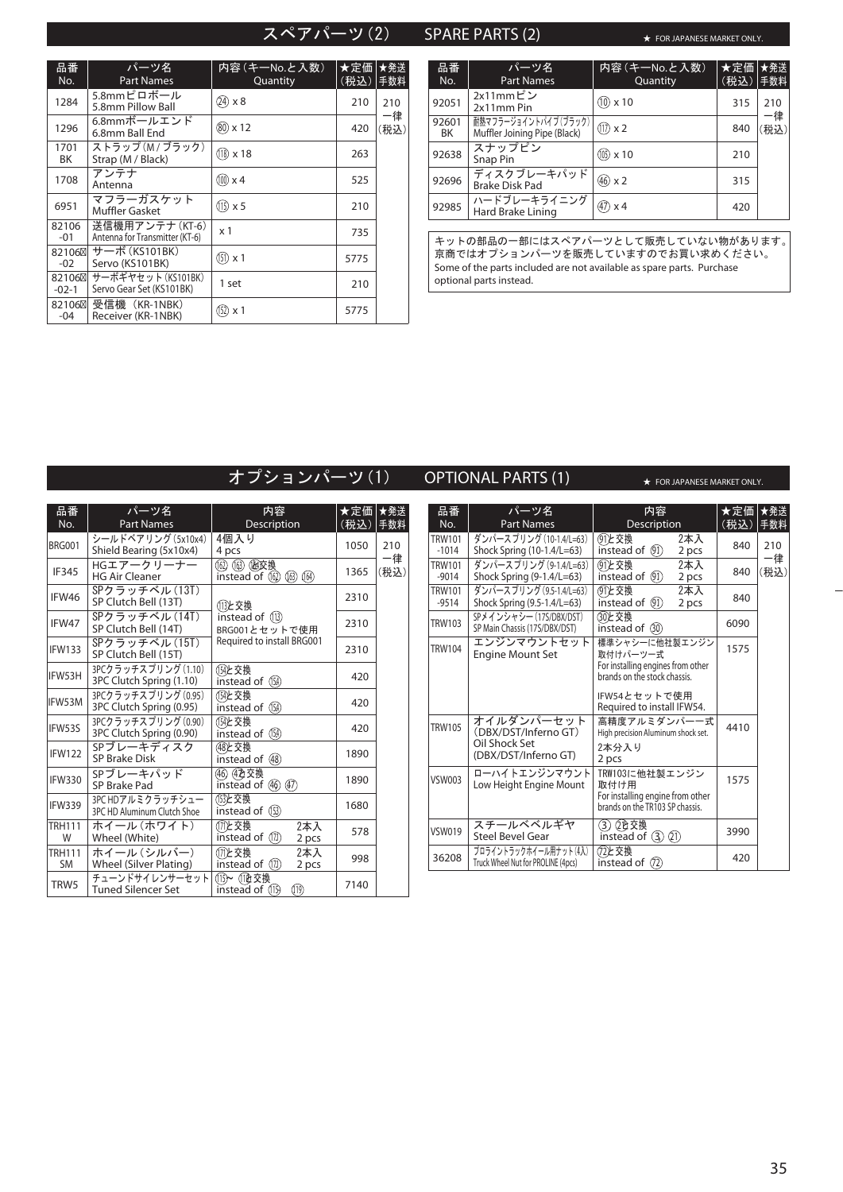# スペアパーツ(2) SPARE PARTS (2)

★ FOR JAPANESE MARKET ONLY.

| 品番<br>No.        | パーツ名<br><b>Part Names</b>                        | 内容 (キーNo.と入数)<br>Quantity | ★定価<br>(税込) | │★発送<br>手数料 |
|------------------|--------------------------------------------------|---------------------------|-------------|-------------|
| 1284             | 5.8mmピロボール<br>5.8mm Pillow Ball                  | $(24) \times 8$           | 210         | 210         |
| 1296             | 6.8mmボールエンド<br>6.8mm Ball End                    | $(80) \times 12$          | 420         | 一律<br>(税込)  |
| 1701<br>ΒK       | ストラップ (M / ブラック)<br>Strap (M / Black)            | $(18) \times 18$          | 263         |             |
| 1708             | アンテナ<br>Antenna                                  | $(100) \times 4$          | 525         |             |
| 6951             | マフラーガスケット<br><b>Muffler Gasket</b>               | $(15) \times 5$           | 210         |             |
| 82106<br>-01     | 送信機用アンテナ(KT-6)<br>Antenna for Transmitter (KT-6) | x <sub>1</sub>            | 735         |             |
| 82106<br>$-02$   | サーボ (KS101BK)<br>Servo (KS101BK)                 | $(151) \times 1$          | 5775        |             |
| 82106<br>$-02-1$ | サーボギヤセット (KS101BK)<br>Servo Gear Set (KS101BK)   | 1 set                     | 210         |             |
| 82106<br>$-04$   | 受信機(KR-1NBK)<br>Receiver (KR-1NBK)               | $(152) \times 1$          | 5775        |             |

**BRG001** 

IFW133

IFW53H IFW53M IFW53S

TRH111 W

| 品番<br>No.   | パーツ名<br><b>Part Names</b>                            | 内容 (キーNo.と入数)<br>Quantity | ★定価<br>(税込) | ★発送<br>手数料 |
|-------------|------------------------------------------------------|---------------------------|-------------|------------|
| 92051       | 2x11mmピン<br>2x11mm Pin                               | $(10) \times 10$          | 315         | 210        |
| 92601<br>BK | 耐熱マフラージョイントパイプ(ブラック)<br>Muffler Joining Pipe (Black) | $(17) \times 2$           | 840         | −律<br>(税込) |
| 92638       | スナップピン<br>Snap Pin                                   | $(105) \times 10$         | 210         |            |
| 92696       | ディスクブレーキパッド<br><b>Brake Disk Pad</b>                 | $(46) \times 2$           | 315         |            |
| 92985       | ハードブレーキライニング<br>Hard Brake Lining                    | $(47) \times 4$           | 420         |            |

キットの部品の一部にはスペアパーツとして販売していない物があります。 京商ではオプションパーツを販売していますのでお買い求めください。 Some of the parts included are not available as spare parts. Purchase optional parts instead.

|                     |                                                 | オプションパーツ(1)                                 |                 |           |                          | <b>OPTIONAL PARTS (1)</b>                                   | ★ FOR JAPANESE MARKET ONLY.                                         |                  |  |
|---------------------|-------------------------------------------------|---------------------------------------------|-----------------|-----------|--------------------------|-------------------------------------------------------------|---------------------------------------------------------------------|------------------|--|
| 品番<br>No.           | パーツ名<br><b>Part Names</b>                       | 内容<br>Description                           | ★定価 ★発送<br>(税込) | 手数料       | 品番<br>No.                | パーツ名<br><b>Part Names</b>                                   | 内容<br>Description                                                   | ★定価│┪<br>(税込)  = |  |
| <b>BRG001</b>       | シールドベアリング (5x10x4)<br>Shield Bearing (5x10x4)   | 4個入り<br>4 pcs                               | 1050            | 210<br>一律 | <b>TRW101</b><br>$-1014$ | ダンパースプリング (10-1.4/L=63)<br>Shock Spring (10-1.4/L=63)       | (91)と交換<br>2本入<br>instead of $(91)$<br>2 pcs                        | 840              |  |
| IF345               | HGエアークリーナー<br><b>HG Air Cleaner</b>             | (62) (63) (函交換<br>instead of (1) (1) (14)   | 1365            | (税込)      | <b>TRW101</b><br>$-9014$ | ダンパースプリング (9-1.4/L=63)<br>Shock Spring (9-1.4/L=63)         | (91)と交換<br>2本入<br>instead of $(9)$<br>2 pcs                         | 840              |  |
| IFW46               | SPクラッチベル (13T)<br>SP Clutch Bell (13T)          | 13と交換                                       | 2310            |           | <b>TRW101</b><br>$-9514$ | ダンパースプリング (9.5-1.4/L=63)<br>Shock Spring (9.5-1.4/L=63)     | (91)と交換<br>2本入<br>instead of $(91)$<br>2 pcs                        | 840              |  |
| IFW47               | SPクラッチベル (14T)<br>SP Clutch Bell (14T)          | instead of (13)<br>BRG001とセットで使用            | 2310            |           | <b>TRW103</b>            | SPメインシャシー (17S/DBX/DST)<br>SP Main Chassis (17S/DBX/DST)    | 30と交換<br>instead of $(30)$                                          | 6090             |  |
| <b>IFW133</b>       | SPクラッチベル (15T)<br>SP Clutch Bell (15T)          | Required to install BRG001                  | 2310            |           | <b>TRW104</b>            | エンジンマウントセット<br><b>Engine Mount Set</b>                      | 標準シャシーに他社製エンジン<br>取付けパーツー式                                          | 1575             |  |
| IFW53H              | 3PCクラッチスプリング (1.10)<br>3PC Clutch Spring (1.10) | (154)と交換<br>instead of (154)                | 420             |           |                          |                                                             | For installing engines from other<br>brands on the stock chassis.   |                  |  |
| FW53M               | 3PCクラッチスプリング (0.95)<br>3PC Clutch Spring (0.95) | (154)と交換<br>instead of (M)                  | 420             |           |                          |                                                             | IFW54とセットで使用<br>Required to install IFW54.                          |                  |  |
| IFW53S              | 3PCクラッチスプリング (0.90)<br>3PC Clutch Spring (0.90) | (154)と交換<br>instead of (14)                 | 420             |           | <b>TRW105</b>            | オイルダンパーセット<br>(DBX/DST/Inferno GT)                          | 高精度アルミダンパーー式<br>High precision Aluminum shock set.                  | 4410             |  |
| IFW122              | SPブレーキディスク<br><b>SP Brake Disk</b>              | (48) 女換<br>instead of 48                    | 1890            |           |                          | Oil Shock Set<br>(DBX/DST/Inferno GT)                       | 2本分入り<br>2 pcs                                                      |                  |  |
| <b>IFW330</b>       | SPブレーキパッド<br>SP Brake Pad                       | (46) 422 交换<br>instead of 40 47             | 1890            |           | <b>VSW003</b>            | ローハイトエンジンマウント<br>Low Height Engine Mount                    | TRW103に他社製エンジン<br>取付け用                                              | 1575             |  |
| <b>IFW339</b>       | 3PC HDアルミクラッチシュー<br>3PC HD Aluminum Clutch Shoe | (13)と交換<br>instead of (B)                   | 1680            |           |                          |                                                             | For installing engine from other<br>brands on the TR103 SP chassis. |                  |  |
| TRH111<br>W         | ホイール (ホワイト)<br>Wheel (White)                    | (171)と交換<br>2本入<br>instead of (7)<br>2 pcs  | 578             |           | <b>VSW019</b>            | スチールベベルギヤ<br><b>Steel Bevel Gear</b>                        | (3) 2 设交换<br>instead of $(3)(2)$                                    | 3990             |  |
| TRH111<br><b>SM</b> | ホイール (シルバー)<br>Wheel (Silver Plating)           | (171)と交換<br>2本入<br>instead of (17)<br>2 pcs | 998             |           | 36208                    | プロライントラックホイール用ナット(4入)<br>Truck Wheel Nut for PROLINE (4pcs) | 72と交換<br>instead of $(72)$                                          | 420              |  |
| TRW5                | チューンドサイレンサーセット<br><b>Tuned Silencer Set</b>     | (113)~ (119 交換<br>(1)<br>instead of (11)    | 7140            |           |                          |                                                             |                                                                     |                  |  |

★発送 手数料

210 一律 (税込)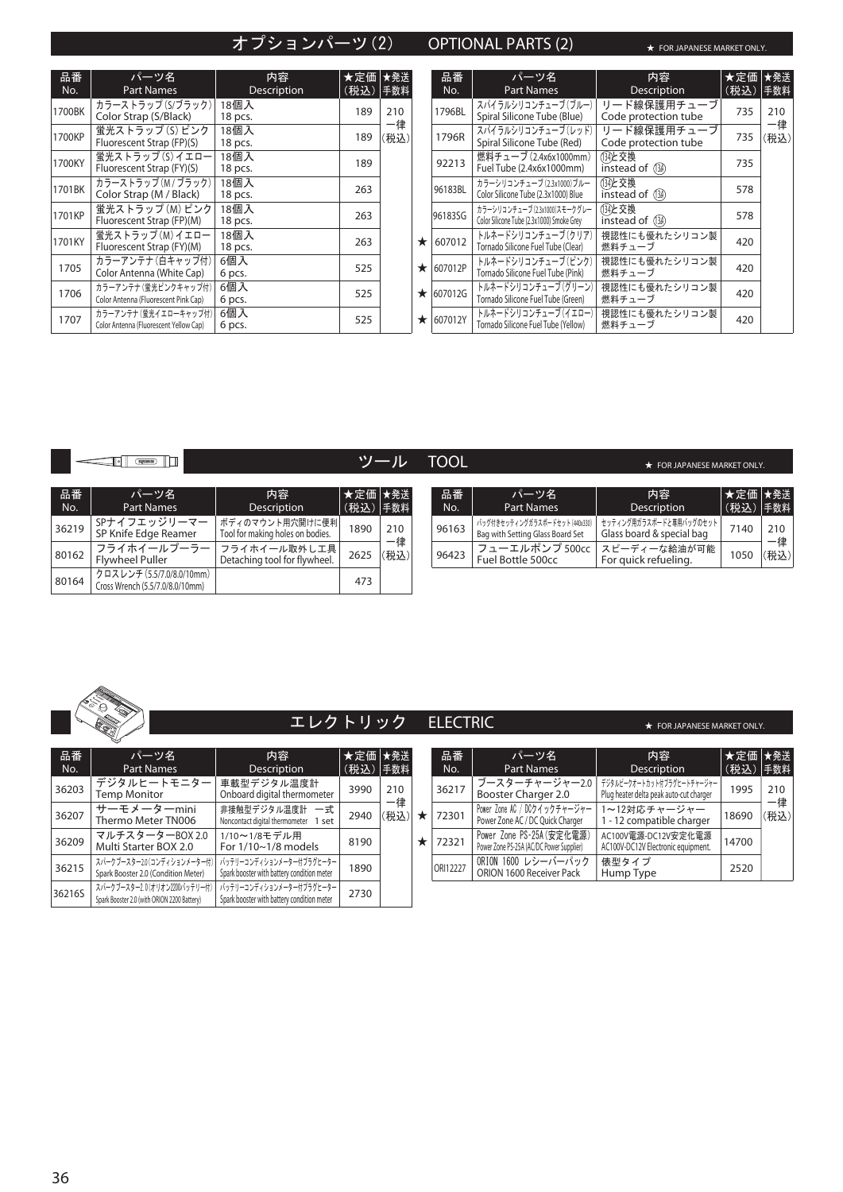# オプションパーツ(2) OPTIONAL PARTS (2) ★ FOR JAPANESE MARKET ONLY.

| 品番<br>No. | パーツ名<br>Part Names                                              | 内容<br>Description | ★定価 ★発送<br>(税込)  手数料 |            |         | 品番<br>No.       | パーツ名<br><b>Part Names</b>                                                  | 内容<br>Description                   | ★定価 ★発送<br>(税込)  手数料 |            |
|-----------|-----------------------------------------------------------------|-------------------|----------------------|------------|---------|-----------------|----------------------------------------------------------------------------|-------------------------------------|----------------------|------------|
| 1700BK    | カラーストラップ(S/ブラック)<br>Color Strap (S/Black)                       | 18個入<br>18 pcs.   | 189                  | 210        |         | 1796BL          | スパイラルシリコンチューブ (ブルー)<br>Spiral Silicone Tube (Blue)                         | リード線保護用チューブ<br>Code protection tube | 735                  | 210        |
| 1700KP    | 蛍光ストラップ(S) ピンク<br>Fluorescent Strap (FP)(S)                     | 18個入<br>18 pcs.   | 189                  | 一律<br>(税込) |         | 1796R           | スパイラルシリコンチューブ(レッド)<br>Spiral Silicone Tube (Red)                           | リード線保護用チューブ<br>Code protection tube | 735                  | 一律<br>(税込) |
| 1700KY    | 蛍光ストラップ(S)イエロー<br>Fluorescent Strap (FY)(S)                     | 18個入<br>18 pcs.   | 189                  |            |         | 92213           | 燃料チューブ (2.4x6x1000mm)<br>Fuel Tube (2.4x6x1000mm)                          | (134)と交換<br>instead of (134)        | 735                  |            |
| 1701BK    | カラーストラップ (M / ブラック)<br>Color Strap (M / Black)                  | 18個入<br>18 pcs.   | 263                  |            |         | 96183BL         | カラーシリコンチューブ (2.3x1000)ブルー<br>Color Silicone Tube (2.3x1000) Blue           | (134)と交換<br>instead of (134)        | 578                  |            |
| 1701KP    | 蛍光ストラップ(M) ピンク<br>Fluorescent Strap (FP)(M)                     | 18個入<br>18 pcs.   | 263                  |            |         | 96183SG         | カラーシリコンチューブ (2.3x1000)スモークグレー<br>Color Silicone Tube (2.3x1000) Smoke Grey | (134)と交換<br>instead of (134)        | 578                  |            |
| 1701KY    | 蛍光ストラップ(M)イエロー<br>Fluorescent Strap (FY)(M)                     | 18個入<br>18 pcs.   | 263                  |            | $\star$ | 607012          | トルネードシリコンチューブ(クリア)<br>Tornado Silicone Fuel Tube (Clear)                   | 視認性にも優れたシリコン製<br>燃料チューブ             | 420                  |            |
| 1705      | カラーアンテナ (白キャップ付)<br>Color Antenna (White Cap)                   | 6個入<br>6 pcs.     | 525                  |            |         | $\star$ 607012P | トルネードシリコンチューブ(ピンク)<br>Tornado Silicone Fuel Tube (Pink)                    | 視認性にも優れたシリコン製<br>燃料チューブ             | 420                  |            |
| 1706      | カラーアンテナ (蛍光ピンクキャップ付)<br>Color Antenna (Fluorescent Pink Cap)    | 6個入<br>6 pcs.     | 525                  |            |         | $\star$ 607012G | トルネードシリコンチューブ(グリーン)<br>Tornado Silicone Fuel Tube (Green)                  | 視認性にも優れたシリコン製<br>燃料チューブ             | 420                  |            |
| 1707      | カラーアンテナ (蛍光イエローキャップ付)<br>Color Antenna (Fluorescent Yellow Cap) | 6個入<br>6 pcs.     | 525                  |            |         | $\star$ 607012Y | トルネードシリコンチューブ (イエロー)<br>Tornado Silicone Fuel Tube (Yellow)                | 視認性にも優れたシリコン製<br>燃料チューブ             | 420                  |            |

 $\begin{tabular}{|c|c|c|c|c|} \hline \rule{0pt}{2.5ex} & \rule{0pt}{2.5ex} & \rule{0pt}{2.5ex} & \rule{0pt}{2.5ex} & \rule{0pt}{2.5ex} & \rule{0pt}{2.5ex} & \rule{0pt}{2.5ex} & \rule{0pt}{2.5ex} & \rule{0pt}{2.5ex} & \rule{0pt}{2.5ex} & \rule{0pt}{2.5ex} & \rule{0pt}{2.5ex} & \rule{0pt}{2.5ex} & \rule{0pt}{2.5ex} & \rule{0pt}{2.5ex} & \rule{0pt}{2.5ex} & \rule{0pt}{2$ 

ツール TOOL **★ FOR JAPANESE MARKET ONLY.** 

| 品番<br>No. | パーツ名<br><b>Part Names</b>                                    | 内容<br><b>Description</b>                            | ★定価 ★発送<br>(税込) 手数料 |            | 品番<br>No. | パーツ名<br><b>Part Names</b>                                          | 内容<br>Description                                    | ★定信<br>(税込 |
|-----------|--------------------------------------------------------------|-----------------------------------------------------|---------------------|------------|-----------|--------------------------------------------------------------------|------------------------------------------------------|------------|
| 36219     | SPナイフエッジリーマー<br>SP Knife Edge Reamer                         | ボディのマウント用穴開けに便利<br>Tool for making holes on bodies. | 1890                | 210        | 96163     | バッグ付きセッティングガラスボードセット (440x330)<br>Bag with Setting Glass Board Set | セッティング用ガラスボードと専用バッグのセット<br>Glass board & special bag | 7140       |
| 80162     | フライホイールプーラー<br>Flywheel Puller                               | フライホイール取外し工具<br>Detaching tool for flywheel.        | 2625                | 一律<br>(税込) | 96423     | フューエルポンプ 500cc<br>Fuel Bottle 500cc                                | スピーディーな給油が可能<br>For quick refueling.                 | 1050       |
| 80164     | クロスレンチ (5.5/7.0/8.0/10mm)<br>Cross Wrench (5.5/7.0/8.0/10mm) |                                                     | 473                 |            |           |                                                                    |                                                      |            |

| 内容<br>Description                                   | ★定価 ★発送<br>(税込)  手数料 |            | 品番<br>No. | パーツ名<br>Part Names                                                 | 内容<br>Description                                    | │★定価│★発送│<br>(税込)  手数料 |           |
|-----------------------------------------------------|----------------------|------------|-----------|--------------------------------------------------------------------|------------------------------------------------------|------------------------|-----------|
| ボディのマウント用穴開けに便利<br>Tool for making holes on bodies. | 1890                 | 210        | 96163     | バッグ付きセッティングガラスボードセット (440x330)<br>Bag with Setting Glass Board Set | セッティング用ガラスボードと専用バッグのセット<br>Glass board & special bag | 7140                   | 210<br>一律 |
| フライホイール取外し工具<br>Detaching tool for flywheel.        | 2625                 | 一律<br>(税込) | 96423     | フューエルポンプ 500cc<br>Fuel Bottle 500cc                                | │ スピーディーな給油が可能 │<br>For quick refueling.             | 1050                   | (税込)      |
|                                                     |                      |            |           |                                                                    |                                                      |                        |           |



エレクトリック ELECTRIC ★ FOR JAPANESE MARKET ONLY.

| 品番<br>No. | パーツ名<br><b>Part Names</b>                                                   | 内容<br><b>Description</b>                                               | ★定価<br>(税込) | ★発送<br>手数料 |
|-----------|-----------------------------------------------------------------------------|------------------------------------------------------------------------|-------------|------------|
| 36203     | デジタルヒートモニター<br><b>Temp Monitor</b>                                          | 車載型デジタル温度計<br>Onboard digital thermometer                              | 3990        | 210        |
| 36207     | サーモメーターmini<br>Thermo Meter TN006                                           | 非接触型デジタル温度計 一式<br>Noncontact digital thermometer 1 set                 | 2940        | 一律<br>(税込) |
| 36209     | マルチスターターBOX 2.0<br>Multi Starter BOX 2.0                                    | 1/10~1/8モデル用<br>For $1/10 \sim 1/8$ models                             | 8190        |            |
| 36215     | スパークブースター2.0(コンディションメーター付)<br>Spark Booster 2.0 (Condition Meter)           | バッテリーコンディションメーター付プラグヒーター<br>Spark booster with battery condition meter | 1890        |            |
| 36216S    | スパークブースター2.0(オリオン2200バッテリー付)<br>Spark Booster 2.0 (with ORION 2200 Battery) | バッテリーコンディションメーター付プラグヒーター<br>Spark booster with battery condition meter | 2730        |            |

| 品番<br>No. | パーツ名<br><b>Part Names</b>                                             | 内容<br>Description                                                     | ★定価 ★発送<br>(税込) | 手数料        |
|-----------|-----------------------------------------------------------------------|-----------------------------------------------------------------------|-----------------|------------|
| 36217     | ブースターチャージャー2.0<br>Booster Charger 2.0                                 | デジタルピークオートカット付プラグヒートチャージャー<br>Plug heater delta peak auto-cut charger | 1995            | 210        |
| 72301     | Power Zone AC / DCクイックチャージャー<br>Power Zone AC / DC Quick Charger      | 1~12対応チャージャー<br>1 - 12 compatible charger                             | 18690           | -律<br>(税込) |
| 72321     | Power Zone PS-25A (安定化電源)<br>Power Zone PS-25A (AC/DC Power Supplier) | AC100V電源-DC12V安定化電源<br>AC100V-DC12V Electronic equipment.             | 14700           |            |
| ORI12227  | ORION 1600 レシーバーパック<br>ORION 1600 Receiver Pack                       | 俵型タイプ<br>Hump Type                                                    | 2520            |            |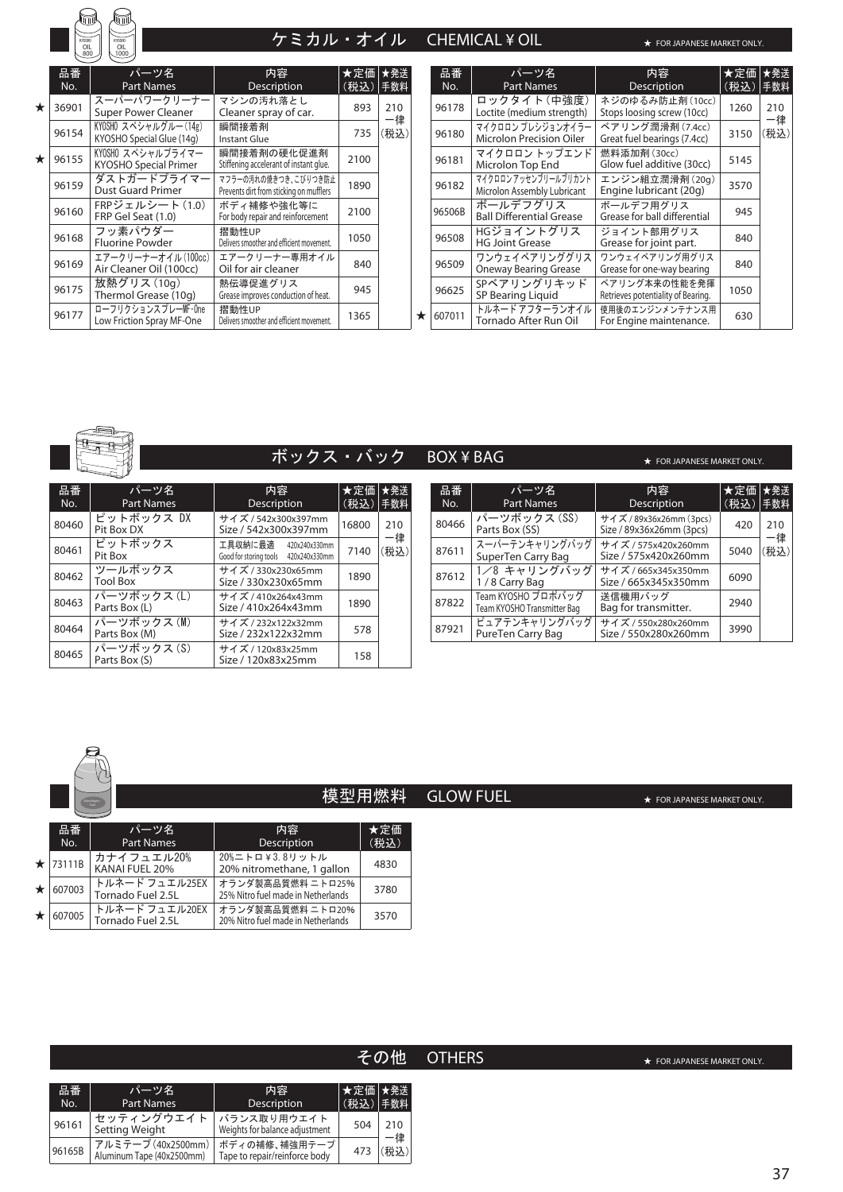KYOSHO OIL 800 KYOSHO OIL 1000

# ー<br>- ケミカル・オイル CHEMICAL¥OIL

★

★ FOR JAPANESE MARKET ONLY.

|         | 品番<br>No. | パーツ名<br><b>Part Names</b>                         | 内容<br>Description                                               | ★定価 ★発送<br>(税込) | 手数料        |
|---------|-----------|---------------------------------------------------|-----------------------------------------------------------------|-----------------|------------|
| $\star$ | 36901     | スーパーパワークリーナー<br><b>Super Power Cleaner</b>        | マシンの汚れ落とし<br>Cleaner spray of car.                              | 893             | 210        |
|         | 96154     | KYOSHO スペシャルグルー(14g)<br>KYOSHO Special Glue (14g) | 瞬間接着剤<br>Instant Glue                                           | 735             | 一律<br>(税込) |
| $\star$ | 96155     | KYOSHO スペシャルプライマー<br><b>KYOSHO Special Primer</b> | 瞬間接着剤の硬化促進剤<br>Stiffening accelerant of instant glue.           | 2100            |            |
|         | 96159     | ダストガードプライマー<br><b>Dust Guard Primer</b>           | マフラーの汚れの焼きつき、こびりつき防止<br>Prevents dirt from sticking on mufflers | 1890            |            |
|         | 96160     | FRPジェルシート (1.0)<br>FRP Gel Seat (1.0)             | ボディ補修や強化等に<br>For body repair and reinforcement                 | 2100            |            |
|         | 96168     | フッ素パウダー<br><b>Fluorine Powder</b>                 | 摺動性UP<br>Delivers smoother and efficient movement.              | 1050            |            |
|         | 96169     | エアークリーナーオイル (100cc)<br>Air Cleaner Oil (100cc)    | エアークリーナー専用オイル<br>Oil for air cleaner                            | 840             |            |
|         | 96175     | 放熱グリス (10g)<br>Thermol Grease (10g)               | 熱伝導促進グリス<br>Grease improves conduction of heat.                 | 945             |            |
|         | 96177     | ローフリクションスプレーMF-One<br>Low Friction Spray MF-One   | 摺動性UP<br>Delivers smoother and efficient movement.              | 1365            |            |

| 品番<br>No. | パーツ名<br><b>Part Names</b>                          | 内容<br>Description                                   | ★定価<br>(税込) | ★発送<br>手数料 |
|-----------|----------------------------------------------------|-----------------------------------------------------|-------------|------------|
| 96178     | ロックタイト(中強度)<br>Loctite (medium strength)           | ネジのゆるみ防止剤 (10cc)<br>Stops loosing screw (10cc)      | 1260        | 210        |
| 96180     | マイクロロン プレシジョンオイラー<br>Microlon Precision Oiler      | ベアリング潤滑剤 (7.4cc)<br>Great fuel bearings (7.4cc)     | 3150        | 一律<br>(税込) |
| 96181     | マイクロロン トップエンド<br>Microlon Top End                  | 燃料添加剤 (30cc)<br>Glow fuel additive (30cc)           | 5145        |            |
| 96182     | マイクロロンアッセンブリールブリカント<br>Microlon Assembly Lubricant | エンジン組立潤滑剤(20g)<br>Engine lubricant (20g)            | 3570        |            |
| 96506B    | ボールデフグリス<br><b>Ball Differential Grease</b>        | ボールデフ用グリス<br>Grease for ball differential           | 945         |            |
| 96508     | HGジョイントグリス<br><b>HG Joint Grease</b>               | ジョイント部用グリス<br>Grease for joint part.                | 840         |            |
| 96509     | ワンウェイベアリンググリス<br><b>Oneway Bearing Grease</b>      | ワンウェイベアリング用グリス<br>Grease for one-way bearing        | 840         |            |
| 96625     | SPベアリングリキッド<br>SP Bearing Liquid                   | ベアリング本来の性能を発揮<br>Retrieves potentiality of Bearing. | 1050        |            |
| 607011    | トルネード アフターランオイル<br>Tornado After Run Oil           | 使用後のエンジンメンテナンス用<br>For Engine maintenance.          | 630         |            |



# ボックス・バック BOX ¥ BAG

| 品番<br>No. | パーツ名<br><b>Part Names</b>   | 内容<br><b>Description</b>                                      | ★定価<br>(税込) | ★発送<br>手数料 | 品番<br>No. |
|-----------|-----------------------------|---------------------------------------------------------------|-------------|------------|-----------|
| 80460     | ピットボックス DX<br>Pit Box DX    | サイズ / 542x300x397mm<br>Size / 542x300x397mm                   | 16800       | 210        | 80466     |
| 80461     | ピットボックス<br>Pit Box          | 工具収納に最適 420x240x330mm<br>Good for storing tools 420x240x330mm | 7140        | 一律<br>(税込) | 87611     |
| 80462     | ツールボックス<br><b>Tool Box</b>  | サイズ / 330x230x65mm<br>Size / 330x230x65mm                     | 1890        |            | 87612     |
| 80463     | パーツボックス(L)<br>Parts Box (L) | サイズ / 410x264x43mm<br>Size / 410x264x43mm                     | 1890        |            | 87822     |
| 80464     | パーツボックス(M)<br>Parts Box (M) | サイズ / 232x122x32mm<br>Size / 232x122x32mm                     | 578         |            | 87921     |
| 80465     | パーツボックス(S)<br>Parts Box (S) | サイズ / 120x83x25mm<br>Size / 120x83x25mm                       | 158         |            |           |

| 品番    | パーツ名                                              | 内容                                                  | ★定価  | ★発送        |
|-------|---------------------------------------------------|-----------------------------------------------------|------|------------|
| No.   | <b>Part Names</b>                                 | <b>Description</b>                                  | (税込) | 手数料        |
| 80466 | パーツボックス (SS)<br>Parts Box (SS)                    | サイズ / 89x36x26mm (3pcs)<br>Size / 89x36x26mm (3pcs) | 420  | 210        |
| 87611 | スーパーテンキャリングバッグ<br>SuperTen Carry Bag              | サイズ / 575x420x260mm<br>Size / 575x420x260mm         | 5040 | −律<br>(税込) |
| 87612 | 1/8 キャリングバッグ<br>1/8 Carry Bag                     | サイズ / 665x345x350mm<br>Size / 665x345x350mm         | 6090 |            |
| 87822 | Team KYOSHO プロポバッグ<br>Team KYOSHO Transmitter Bag | 送信機用バッグ<br>Bag for transmitter.                     | 2940 |            |
| 87921 | ピュアテンキャリングバッグ<br>PureTen Carry Bag                | サイズ / 550x280x260mm<br>Size / 550x280x260mm         | 3990 |            |

Glow Engine

# 模型用燃料 GLOW FUEL

|         | 品番<br>No.      | パーツ名<br><b>Part Names</b>           | 内容<br><b>Description</b>                                 | ★定価<br>(税込) |
|---------|----------------|-------------------------------------|----------------------------------------------------------|-------------|
|         | $\star$ 73111B | カナイフュエル20%<br>KANAI FUEL 20%        | 20%ニトロ¥3.8リットル<br>20% nitromethane, 1 gallon             | 4830        |
| $\star$ | 607003         | トルネード フュエル25EX<br>Tornado Fuel 2.5L | │オランダ製高品質燃料 二トロ25%<br>25% Nitro fuel made in Netherlands | 3780        |
| $\star$ | 607005         | トルネード フュエル20EX<br>Tornado Fuel 2.5L | オランダ製高品質燃料 ニトロ20%<br>20% Nitro fuel made in Netherlands  | 3570        |

# その他 OTHERS

| 品番<br>No. | パーツ名<br><b>Part Names</b>                         | 内容<br>Description                              | ★定価 ★発送<br>(税込)  手数料 |           |
|-----------|---------------------------------------------------|------------------------------------------------|----------------------|-----------|
| 96161     | セッティングウエイト<br>Setting Weight                      | バランス取り用ウエイト<br>Weights for balance adjustment  | 504                  | 210<br>-律 |
| 96165B    | アルミテープ (40x2500mm)  <br>Aluminum Tape (40x2500mm) | ボディの補修、補強用テープ<br>Tape to repair/reinforce body | 473                  | 税认)       |

★ FOR JAPANESE MARKET ONLY.

★ FOR JAPANESE MARKET ONLY.

★ FOR JAPANESE MARKET ONLY.